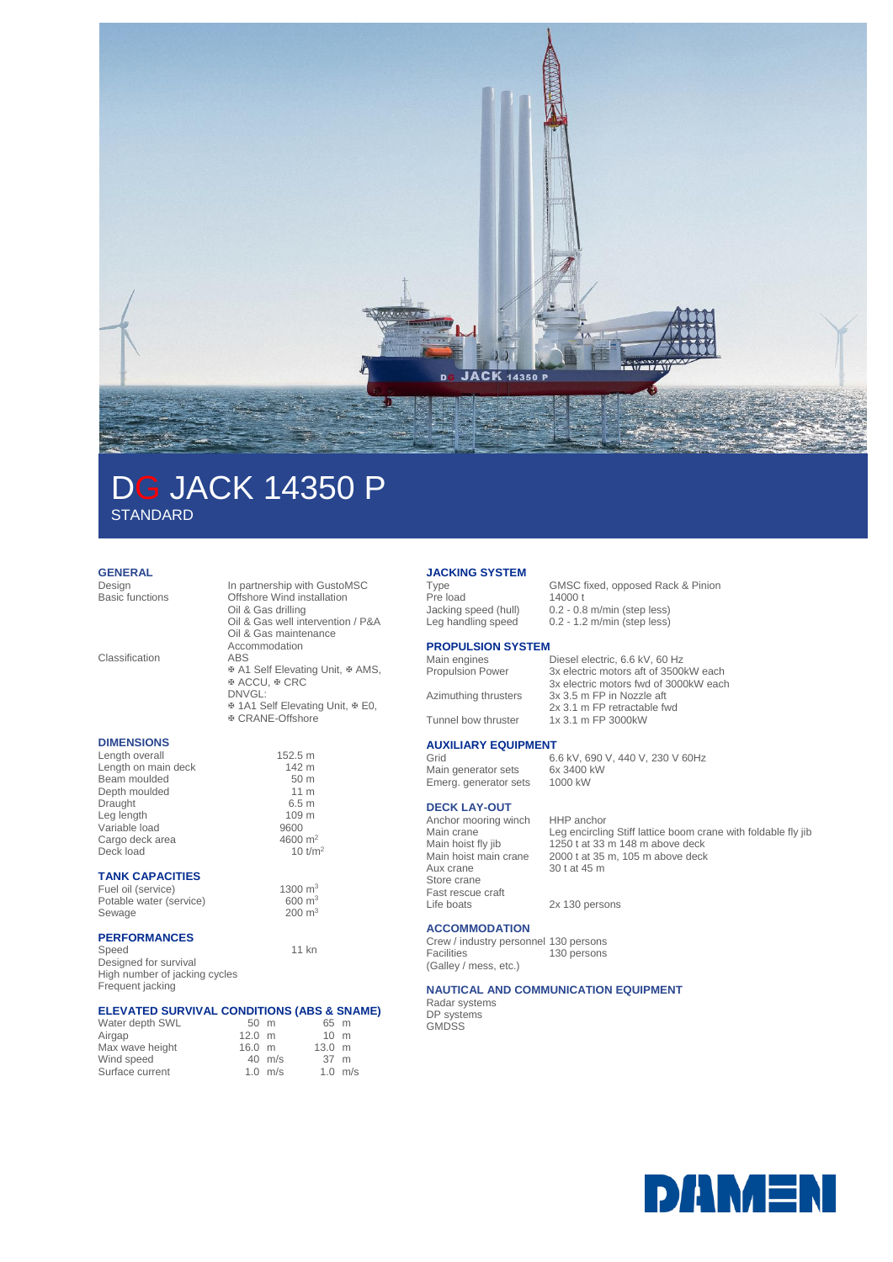

# DG JACK 14350 P **STANDARD**

## **GENERAL**<br>Design

| Design<br><b>Basic functions</b><br>Classification                                                                                                                    | In partnership with GustoMSC<br>Offshore Wind installation<br>Oil & Gas drilling<br>Oil & Gas well intervention / P&A<br>Oil & Gas maintenance<br>Accommodation<br><b>ABS</b> |
|-----------------------------------------------------------------------------------------------------------------------------------------------------------------------|-------------------------------------------------------------------------------------------------------------------------------------------------------------------------------|
|                                                                                                                                                                       | ⊕ A1 Self Elevating Unit, ⊕ AMS,<br>ড ACCU, ড CRC<br>DNVGL:<br>* 1A1 Self Elevating Unit, * E0,<br>® CRANE-Offshore                                                           |
| <b>DIMENSIONS</b><br>Length overall<br>Length on main deck<br>Beam moulded<br>Depth moulded<br>Draught<br>Leg length<br>Variable load<br>Cargo deck area<br>Deck load | 152.5 m<br>142 m<br>50 <sub>m</sub><br>11 <sub>m</sub><br>6.5 <sub>m</sub><br>109 m<br>9600<br>4600 $m2$<br>$10$ t/m <sup>2</sup>                                             |
| <b>TANK CAPACITIES</b><br>Fuel oil (service)<br>Potable water (service)<br>Sewage                                                                                     | 1300 $m3$<br>$600 \text{ m}^3$<br>$200 \; \text{m}^3$                                                                                                                         |
| <b>PERFORMANCES</b>                                                                                                                                                   |                                                                                                                                                                               |

Speed 11 kn Designed for survival High number of jacking cycles Frequent jacking

#### **ELEVATED SURVIVAL CONDITIONS (ABS & SNAME)**

| 65 m<br>$50 \text{ m}$               |           |
|--------------------------------------|-----------|
| $12.0 \text{ m}$<br>$10 \text{ m}$   |           |
| $13.0 \text{ m}$<br>$16.0 \text{ m}$ |           |
| $40$ m/s<br>37 m                     |           |
| $1.0$ m/s                            |           |
|                                      | $1.0$ m/s |

## **JACKING SYSTEM**

Pre load<br>Jacking speed (hull) Jacking speed (hull) 0.2 - 0.8 m/min (step less)<br>Leg handling speed 0.2 - 1.2 m/min (step less)

GMSC fixed, opposed Rack & Pinion<br>14000 t  $0.2 - 1.2$  m/min (step less)

# **PROPULSION SYSTEM**<br>Main engines

Main engines Diesel electric, 6.6 kV, 60 Hz<br>Propulsion Power 3x electric motors aft of 3500 3x electric motors aft of 3500kW each 3x electric motors fwd of 3000kW each Azimuthing thrusters 3x 3.5 m FP in Nozzle aft 2x 3.1 m FP retractable fwd Tunnel bow thruster 1x 3.1 m FP 3000kW

#### **AUXILIARY EQUIPMENT**

Grid 6.6 kV, 690 V, 440 V, 230 V 60Hz<br>Main generator sets 6x 3400 kW Main generator sets<br>Emera, aenerator sets 1000 kW Emerg. generator sets

### **DECK LAY-OUT**

Anchor mooring winch HHP anchor<br>Main crane Leg encirclin Aux crane 30 t at 45 m Store crane Fast rescue craft<br>Life boats

#### **ACCOMMODATION**

Crew / industry personnel 130 persons Facilities (Galley / mess, etc.) 130 persons

#### **NAUTICAL AND COMMUNICATION EQUIPMENT**

Radar systems DP systems GMDSS

Main crane Leg encircling Stiff lattice boom crane with foldable fly jib<br>Main hoist fly jib 1250 t at 33 m 148 m above deck  $1250$  t at 33 m 148 m above deck Main hoist main crane 2000 t at 35 m, 105 m above deck